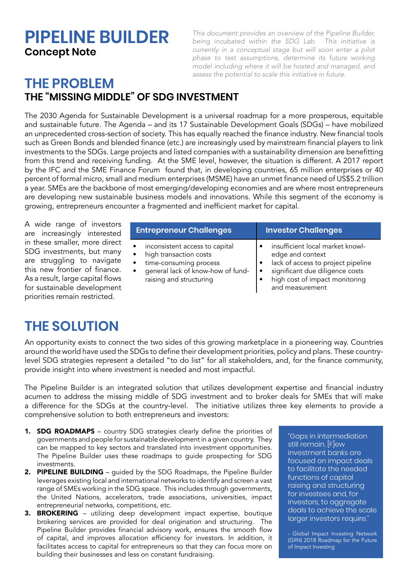# **PIPELINE BUILDER Concept Note**

*This document provides an overview of the Pipeline Builder, being incubated within the SDG Lab. This initiative is currently in a conceptual stage but will soon enter a pilot phase to test assumptions, determine its future working model including where it will be hosted and managed, and assess the potential to scale this initiative in future.*

# **THE PROBLEM THE "MISSING MIDDLE" OF SDG INVESTMENT**

The 2030 Agenda for Sustainable Development is a universal roadmap for a more prosperous, equitable and sustainable future. The Agenda – and its 17 Sustainable Development Goals (SDGs) – have mobilized an unprecedented cross-section of society. This has equally reached the finance industry. New financial tools such as Green Bonds and blended finance (etc.) are increasingly used by mainstream financial players to link investments to the SDGs. Large projects and listed companies with a sustainability dimension are benefitting from this trend and receiving funding. At the SME level, however, the situation is different. A 2017 report by the IFC and the SME Finance Forum found that, in developing countries, 65 million enterprises or 40 percent of formal micro, small and medium enterprises (MSME) have an unmet finance need of US\$5.2 trillion a year. SMEs are the backbone of most emerging/developing economies and are where most entrepreneurs are developing new sustainable business models and innovations. While this segment of the economy is growing, entrepreneurs encounter a fragmented and inefficient market for capital.

A wide range of investors are increasingly interested in these smaller, more direct SDG investments, but many are struggling to navigate this new frontier of finance. As a result, large capital flows for sustainable development priorities remain restricted.

| <b>Entrepreneur Challenges</b>                                                                                                                     | <b>Investor Challenges</b>                                                                                                                                                                      |
|----------------------------------------------------------------------------------------------------------------------------------------------------|-------------------------------------------------------------------------------------------------------------------------------------------------------------------------------------------------|
| inconsistent access to capital<br>high transaction costs<br>time-consuming process<br>general lack of know-how of fund-<br>raising and structuring | insufficient local market knowl-<br>edge and context<br>lack of access to project pipeline<br>significant due diligence costs<br>$\bullet$<br>high cost of impact monitoring<br>and measurement |

# **THE SOLUTION**

An opportunity exists to connect the two sides of this growing marketplace in a pioneering way. Countries around the world have used the SDGs to define their development priorities, policy and plans. These countrylevel SDG strategies represent a detailed "to do list" for all stakeholders, and, for the finance community, provide insight into where investment is needed and most impactful.

The Pipeline Builder is an integrated solution that utilizes development expertise and financial industry acumen to address the missing middle of SDG investment and to broker deals for SMEs that will make a difference for the SDGs at the country-level. The initiative utilizes three key elements to provide a comprehensive solution to both entrepreneurs and investors:

- 1. SDG ROADMAPS country SDG strategies clearly define the priorities of governments and people for sustainable development in a given country. They can be mapped to key sectors and translated into investment opportunities. The Pipeline Builder uses these roadmaps to guide prospecting for SDG investments.
- 2. PIPELINE BUILDING guided by the SDG Roadmaps, the Pipeline Builder leverages existing local and international networks to identify and screen a vast range of SMEs working in the SDG space. This includes through governments, the United Nations, accelerators, trade associations, universities, impact entrepreneurial networks, competitions, etc.
- **3. BROKERING** utilizing deep development impact expertise, boutique brokering services are provided for deal origination and structuring. The Pipeline Builder provides financial advisory work, ensures the smooth flow of capital, and improves allocation efficiency for investors. In addition, it facilitates access to capital for entrepreneurs so that they can focus more on building their businesses and less on constant fundraising.

"Gaps in intermediation still remain. [F]ew investment banks are focused on impact deals to facilitate the needed functions of capital raising and structuring for investees and, for investors, to aggregate deals to achieve the scale larger investors require."

- Global Impact Investing Network (GIIN) 2018 Roadmap for the Future of Impact Investing